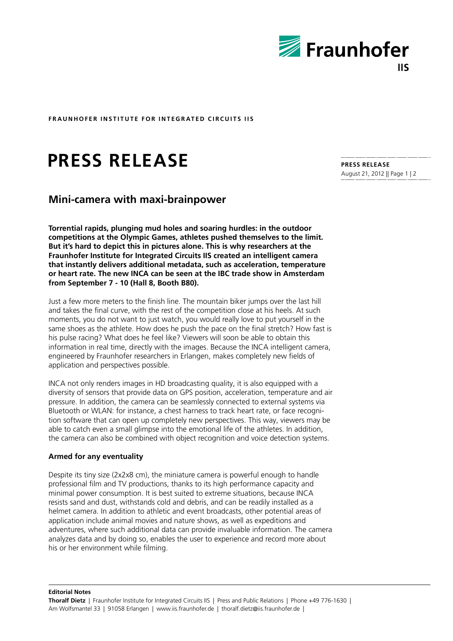

**FRAUNHOFER INSTITUTE FOR INTEGRATED CIRCUITS IIS** 

# **Press Release**

## **Mini-camera with maxi-brainpower**

**Torrential rapids, plunging mud holes and soaring hurdles: in the outdoor competitions at the Olympic Games, athletes pushed themselves to the limit. But it's hard to depict this in pictures alone. This is why researchers at the Fraunhofer Institute for Integrated Circuits IIS created an intelligent camera that instantly delivers additional metadata, such as acceleration, temperature or heart rate. The new INCA can be seen at the IBC trade show in Amsterdam from September 7 - 10 (Hall 8, Booth B80).** 

Just a few more meters to the finish line. The mountain biker jumps over the last hill and takes the final curve, with the rest of the competition close at his heels. At such moments, you do not want to just watch, you would really love to put yourself in the same shoes as the athlete. How does he push the pace on the final stretch? How fast is his pulse racing? What does he feel like? Viewers will soon be able to obtain this information in real time, directly with the images. Because the INCA intelligent camera, engineered by Fraunhofer researchers in Erlangen, makes completely new fields of application and perspectives possible.

INCA not only renders images in HD broadcasting quality, it is also equipped with a diversity of sensors that provide data on GPS position, acceleration, temperature and air pressure. In addition, the camera can be seamlessly connected to external systems via Bluetooth or WLAN: for instance, a chest harness to track heart rate, or face recognition software that can open up completely new perspectives. This way, viewers may be able to catch even a small glimpse into the emotional life of the athletes. In addition, the camera can also be combined with object recognition and voice detection systems.

### **Armed for any eventuality**

Despite its tiny size (2x2x8 cm), the miniature camera is powerful enough to handle professional film and TV productions, thanks to its high performance capacity and minimal power consumption. It is best suited to extreme situations, because INCA resists sand and dust, withstands cold and debris, and can be readily installed as a helmet camera. In addition to athletic and event broadcasts, other potential areas of application include animal movies and nature shows, as well as expeditions and adventures, where such additional data can provide invaluable information. The camera analyzes data and by doing so, enables the user to experience and record more about his or her environment while filming.

**PRESS Release** August 21, 2012 || Page 1 | 2

**Editorial Notes**